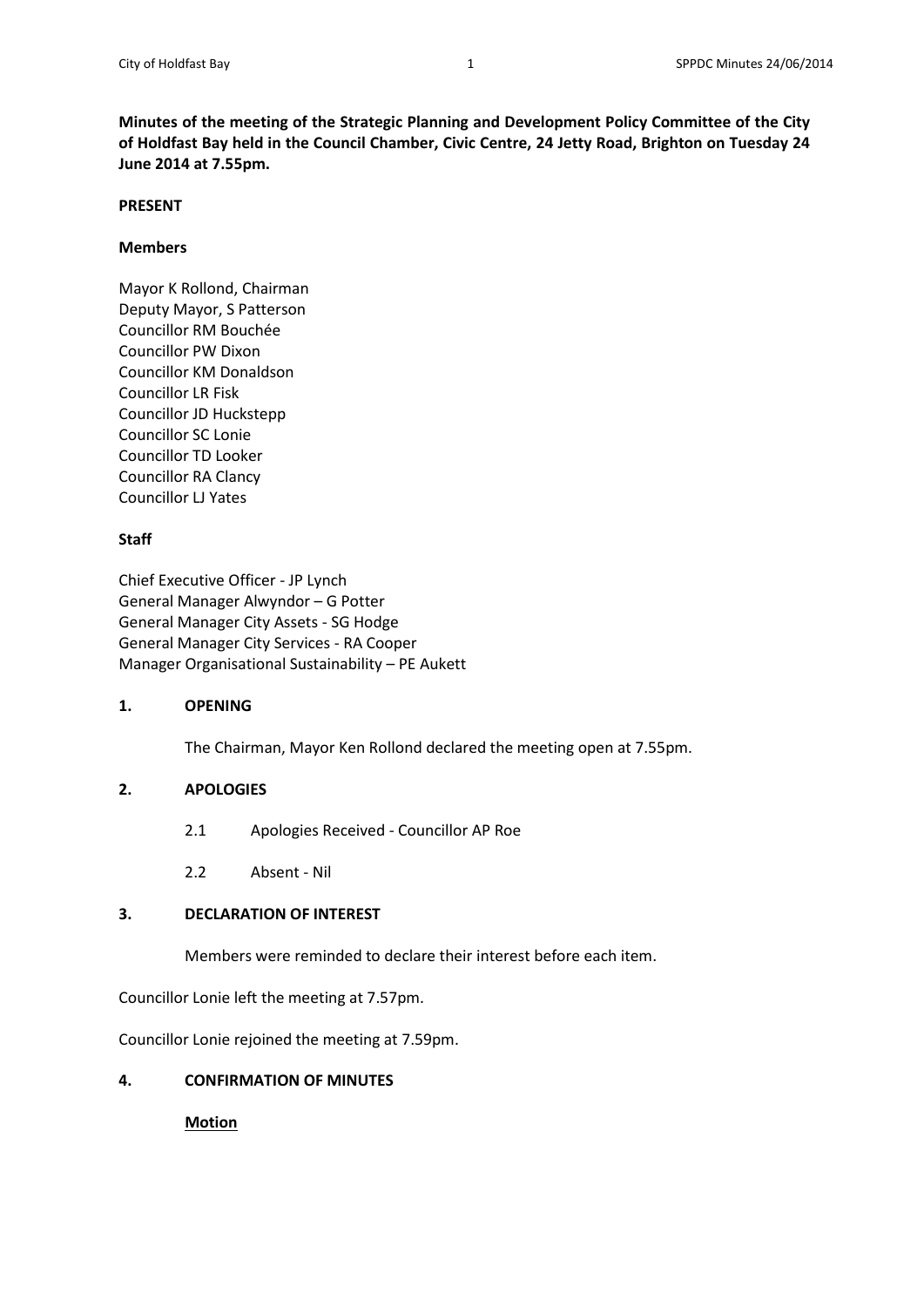**Minutes of the meeting of the Strategic Planning and Development Policy Committee of the City of Holdfast Bay held in the Council Chamber, Civic Centre, 24 Jetty Road, Brighton on Tuesday 24 June 2014 at 7.55pm.**

### **PRESENT**

### **Members**

Mayor K Rollond, Chairman Deputy Mayor, S Patterson Councillor RM Bouchée Councillor PW Dixon Councillor KM Donaldson Councillor LR Fisk Councillor JD Huckstepp Councillor SC Lonie Councillor TD Looker Councillor RA Clancy Councillor LJ Yates

## **Staff**

Chief Executive Officer - JP Lynch General Manager Alwyndor – G Potter General Manager City Assets - SG Hodge General Manager City Services - RA Cooper Manager Organisational Sustainability – PE Aukett

## **1. OPENING**

The Chairman, Mayor Ken Rollond declared the meeting open at 7.55pm.

## **2. APOLOGIES**

- 2.1 Apologies Received Councillor AP Roe
- 2.2 Absent Nil

## **3. DECLARATION OF INTEREST**

Members were reminded to declare their interest before each item.

Councillor Lonie left the meeting at 7.57pm.

Councillor Lonie rejoined the meeting at 7.59pm.

## **4. CONFIRMATION OF MINUTES**

## **Motion**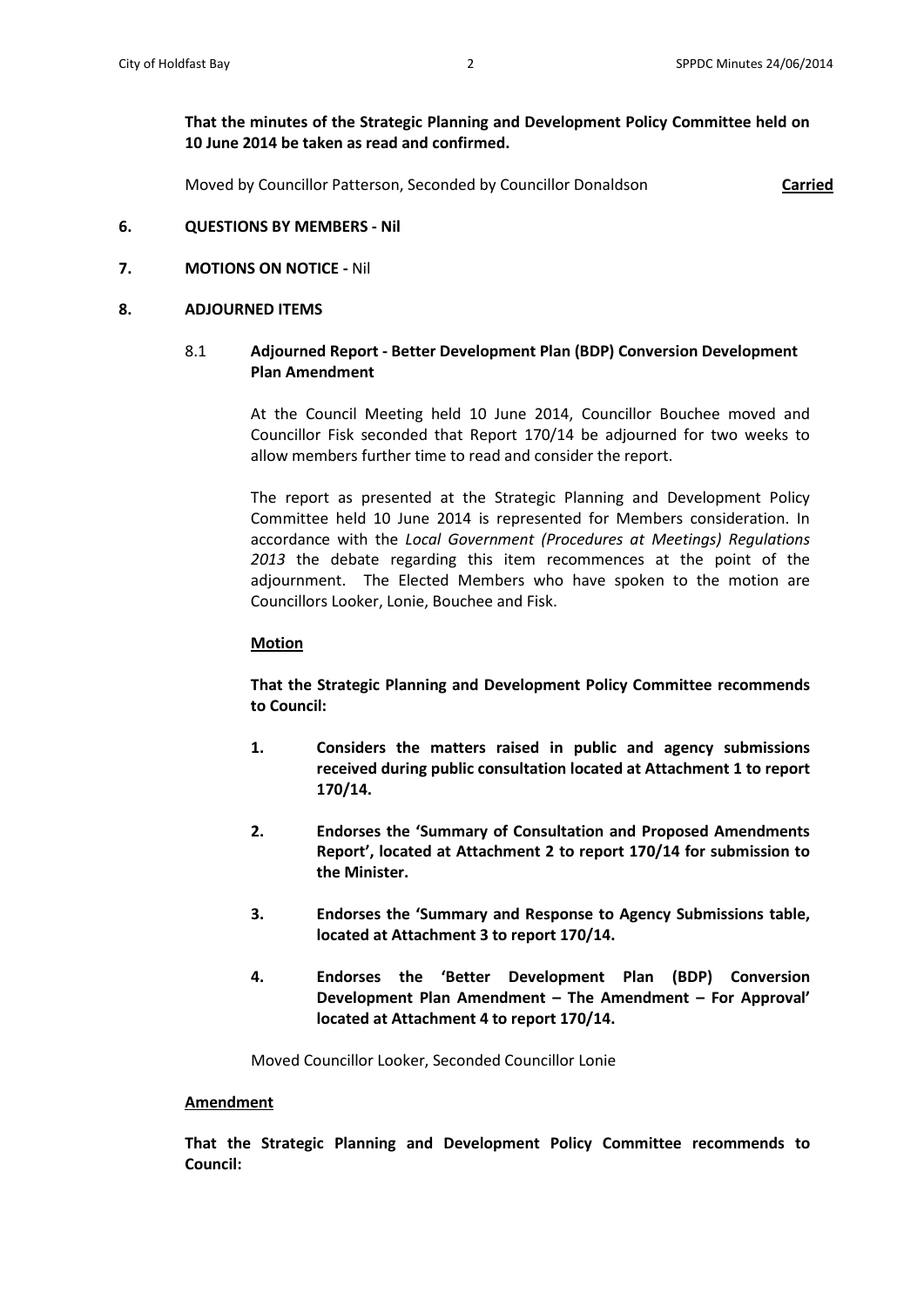# **That the minutes of the Strategic Planning and Development Policy Committee held on 10 June 2014 be taken as read and confirmed.**

Moved by Councillor Patterson, Seconded by Councillor Donaldson **Carried**

### **6. QUESTIONS BY MEMBERS - Nil**

## **7. MOTIONS ON NOTICE -** Nil

#### **8. ADJOURNED ITEMS**

## 8.1 **Adjourned Report - Better Development Plan (BDP) Conversion Development Plan Amendment**

At the Council Meeting held 10 June 2014, Councillor Bouchee moved and Councillor Fisk seconded that Report 170/14 be adjourned for two weeks to allow members further time to read and consider the report.

The report as presented at the Strategic Planning and Development Policy Committee held 10 June 2014 is represented for Members consideration. In accordance with the *Local Government (Procedures at Meetings) Regulations 2013* the debate regarding this item recommences at the point of the adjournment. The Elected Members who have spoken to the motion are Councillors Looker, Lonie, Bouchee and Fisk.

#### **Motion**

**That the Strategic Planning and Development Policy Committee recommends to Council:**

- **1. Considers the matters raised in public and agency submissions received during public consultation located at Attachment 1 to report 170/14.**
- **2. Endorses the 'Summary of Consultation and Proposed Amendments Report', located at Attachment 2 to report 170/14 for submission to the Minister.**
- **3. Endorses the 'Summary and Response to Agency Submissions table, located at Attachment 3 to report 170/14.**
- **4. Endorses the 'Better Development Plan (BDP) Conversion Development Plan Amendment – The Amendment – For Approval' located at Attachment 4 to report 170/14.**

Moved Councillor Looker, Seconded Councillor Lonie

#### **Amendment**

**That the Strategic Planning and Development Policy Committee recommends to Council:**